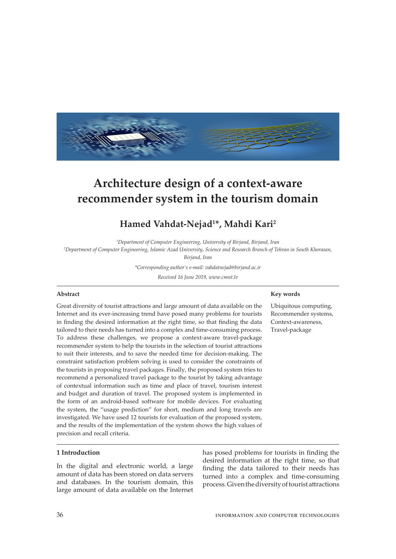

# **Architecture design of a context-aware recommender system in the tourism domain**

## **Hamed Vahdat-Nejad1 \*, Mahdi Kari2**

*1 Department of Computer Engineering, University of Birjand, Birjand, Iran*

*2 Department of Computer Engineering, Islamic Azad University, Science and Research Branch of Tehran in South Khorasan,* 

*Birjand, Iran*

*\*Corresponding author's e-mail: vahdatnejad@birjand.ac.ir*

*Received 16 June 2019, www.cmnt.lv*

### **Abstract**

Great diversity of tourist attractions and large amount of data available on the Internet and its ever-increasing trend have posed many problems for tourists in finding the desired information at the right time, so that finding the data tailored to their needs has turned into a complex and time-consuming process. To address these challenges, we propose a context-aware travel-package recommender system to help the tourists in the selection of tourist attractions to suit their interests, and to save the needed time for decision-making. The constraint satisfaction problem solving is used to consider the constraints of the tourists in proposing travel packages. Finally, the proposed system tries to recommend a personalized travel package to the tourist by taking advantage of contextual information such as time and place of travel, tourism interest and budget and duration of travel. The proposed system is implemented in the form of an android-based software for mobile devices. For evaluating the system, the "usage prediction" for short, medium and long travels are investigated. We have used 12 tourists for evaluation of the proposed system, and the results of the implementation of the system shows the high values of precision and recall criteria.

### **1 Introduction**

In the digital and electronic world, a large amount of data has been stored on data servers and databases. In the tourism domain, this large amount of data available on the Internet has posed problems for tourists in finding the desired information at the right time, so that finding the data tailored to their needs has turned into a complex and time-consuming process. Given the diversity of tourist attractions

### **Key words**

Ubiquitous computing, Recommender systems, Context-awareness, Travel-package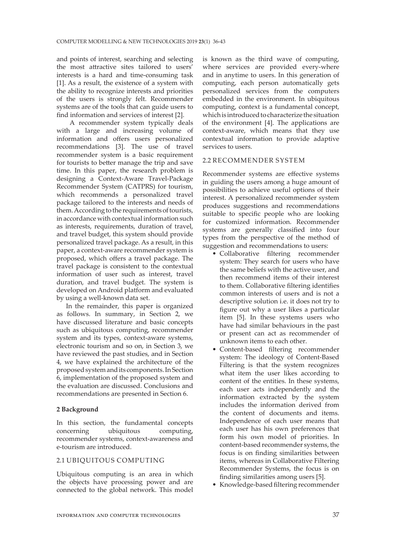and points of interest, searching and selecting the most attractive sites tailored to users' interests is a hard and time-consuming task [1]. As a result, the existence of a system with the ability to recognize interests and priorities of the users is strongly felt. Recommender systems are of the tools that can guide users to find information and services of interest [2].

 A recommender system typically deals with a large and increasing volume of information and offers users personalized recommendations [3]. The use of travel recommender system is a basic requirement for tourists to better manage the trip and save time. In this paper, the research problem is designing a Context-Aware Travel-Package Recommender System (CATPRS) for tourism, which recommends a personalized travel package tailored to the interests and needs of them. According to the requirements of tourists, in accordance with contextual information such as interests, requirements, duration of travel, and travel budget, this system should provide personalized travel package. As a result, in this paper, a context-aware recommender system is proposed, which offers a travel package. The travel package is consistent to the contextual information of user such as interest, travel duration, and travel budget. The system is developed on Android platform and evaluated by using a well-known data set.

In the remainder, this paper is organized as follows. In summary, in Section 2, we have discussed literature and basic concepts such as ubiquitous computing, recommender system and its types, context-aware systems, electronic tourism and so on, in Section 3, we have reviewed the past studies, and in Section 4, we have explained the architecture of the proposed system and its components. In Section 6, implementation of the proposed system and the evaluation are discussed. Conclusions and recommendations are presented in Section 6.

## **2 Background**

In this section, the fundamental concepts concerning ubiquitous computing, recommender systems, context-awareness and e-tourism are introduced.

## 2.1 UBIQUITOUS COMPUTING

Ubiquitous computing is an area in which the objects have processing power and are connected to the global network. This model is known as the third wave of computing, where services are provided every-where and in anytime to users. In this generation of computing, each person automatically gets personalized services from the computers embedded in the environment. In ubiquitous computing, context is a fundamental concept, which is introduced to characterize the situation of the environment [4]. The applications are context-aware, which means that they use contextual information to provide adaptive services to users.

## 2.2 RECOMMENDER SYSTEM

Recommender systems are effective systems in guiding the users among a huge amount of possibilities to achieve useful options of their interest. A personalized recommender system produces suggestions and recommendations suitable to specific people who are looking for customized information. Recommender systems are generally classified into four types from the perspective of the method of suggestion and recommendations to users:

- Collaborative filtering recommender system: They search for users who have the same beliefs with the active user, and then recommend items of their interest to them. Collaborative filtering identifies common interests of users and is not a descriptive solution i.e. it does not try to figure out why a user likes a particular item [5]. In these systems users who have had similar behaviours in the past or present can act as recommender of unknown items to each other.
- Content-based filtering recommender system: The ideology of Content-Based Filtering is that the system recognizes what item the user likes according to content of the entities. In these systems, each user acts independently and the information extracted by the system includes the information derived from the content of documents and items. Independence of each user means that each user has his own preferences that form his own model of priorities. In content-based recommender systems, the focus is on finding similarities between items, whereas in Collaborative Filtering Recommender Systems, the focus is on finding similarities among users [5].
- Knowledge-based filtering recommender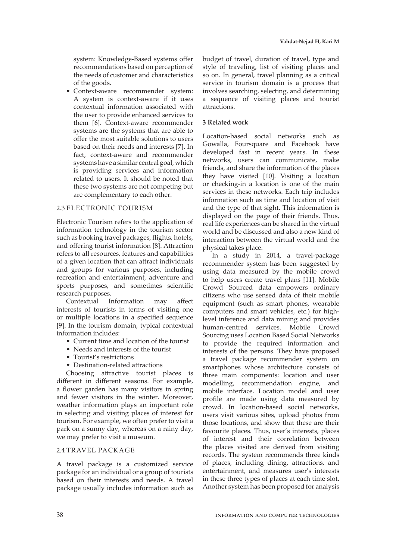system: Knowledge-Based systems offer recommendations based on perception of the needs of customer and characteristics of the goods.

• Context-aware recommender system: A system is context-aware if it uses contextual information associated with the user to provide enhanced services to them [6]. Context-aware recommender systems are the systems that are able to offer the most suitable solutions to users based on their needs and interests [7]. In fact, context-aware and recommender systems have a similar central goal, which is providing services and information related to users. It should be noted that these two systems are not competing but are complementary to each other.

## 2.3 ELECTRONIC TOURISM

Electronic Tourism refers to the application of information technology in the tourism sector such as booking travel packages, flights, hotels, and offering tourist information [8]. Attraction refers to all resources, features and capabilities of a given location that can attract individuals and groups for various purposes, including recreation and entertainment, adventure and sports purposes, and sometimes scientific research purposes.

Contextual Information may affect interests of tourists in terms of visiting one or multiple locations in a specified sequence [9]. In the tourism domain, typical contextual information includes:

- Current time and location of the tourist
- Needs and interests of the tourist
- Tourist's restrictions
- Destination-related attractions

Choosing attractive tourist places is different in different seasons. For example, a flower garden has many visitors in spring and fewer visitors in the winter. Moreover, weather information plays an important role in selecting and visiting places of interest for tourism. For example, we often prefer to visit a park on a sunny day, whereas on a rainy day, we may prefer to visit a museum.

## 2.4 TRAVEL PACKAGE

A travel package is a customized service package for an individual or a group of tourists based on their interests and needs. A travel package usually includes information such as budget of travel, duration of travel, type and style of traveling, list of visiting places and so on. In general, travel planning as a critical service in tourism domain is a process that involves searching, selecting, and determining a sequence of visiting places and tourist attractions.

## **3 Related work**

Location-based social networks such as Gowalla, Foursquare and Facebook have developed fast in recent years. In these networks, users can communicate, make friends, and share the information of the places they have visited [10]. Visiting a location or checking-in a location is one of the main services in these networks. Each trip includes information such as time and location of visit and the type of that sight. This information is displayed on the page of their friends. Thus, real life experiences can be shared in the virtual world and be discussed and also a new kind of interaction between the virtual world and the physical takes place.

In a study in 2014, a travel-package recommender system has been suggested by using data measured by the mobile crowd to help users create travel plans [11]. Mobile Crowd Sourced data empowers ordinary citizens who use sensed data of their mobile equipment (such as smart phones, wearable computers and smart vehicles, etc.) for highlevel inference and data mining and provides human-centred services. Mobile Crowd Sourcing uses Location Based Social Networks to provide the required information and interests of the persons. They have proposed a travel package recommender system on smartphones whose architecture consists of three main components: location and user modelling, recommendation engine, and mobile interface. Location model and user profile are made using data measured by crowd. In location-based social networks, users visit various sites, upload photos from those locations, and show that these are their favourite places. Thus, user's interests, places of interest and their correlation between the places visited are derived from visiting records. The system recommends three kinds of places, including dining, attractions, and entertainment, and measures user's interests in these three types of places at each time slot. Another system has been proposed for analysis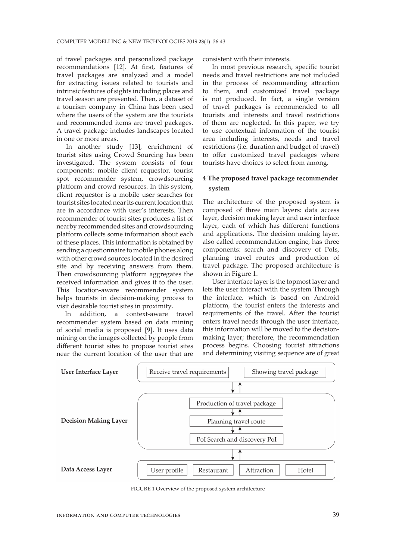of travel packages and personalized package recommendations [12]. At first, features of travel packages are analyzed and a model for extracting issues related to tourists and intrinsic features of sights including places and travel season are presented. Then, a dataset of a tourism company in China has been used where the users of the system are the tourists and recommended items are travel packages. A travel package includes landscapes located in one or more areas.

In another study [13], enrichment of tourist sites using Crowd Sourcing has been investigated. The system consists of four components: mobile client requestor, tourist spot recommender system, crowdsourcing platform and crowd resources. In this system, client requestor is a mobile user searches for tourist sites located near its current location that are in accordance with user's interests. Then recommender of tourist sites produces a list of nearby recommended sites and crowdsourcing platform collects some information about each of these places. This information is obtained by sending a questionnaire to mobile phones along with other crowd sources located in the desired site and by receiving answers from them. Then crowdsourcing platform aggregates the received information and gives it to the user. This location-aware recommender system helps tourists in decision-making process to visit desirable tourist sites in proximity.

 In addition, a context-aware travel recommender system based on data mining of social media is proposed [9]. It uses data mining on the images collected by people from different tourist sites to propose tourist sites near the current location of the user that are

consistent with their interests.

In most previous research, specific tourist needs and travel restrictions are not included in the process of recommending attraction to them, and customized travel package is not produced. In fact, a single version of travel packages is recommended to all tourists and interests and travel restrictions of them are neglected. In this paper, we try to use contextual information of the tourist area including interests, needs and travel restrictions (i.e. duration and budget of travel) to offer customized travel packages where tourists have choices to select from among.

## **4 The proposed travel package recommender system**

The architecture of the proposed system is composed of three main layers: data access layer, decision making layer and user interface layer, each of which has different functions and applications. The decision making layer, also called recommendation engine, has three components: search and discovery of PoIs, planning travel routes and production of travel package. The proposed architecture is shown in Figure 1.

User interface layer is the topmost layer and lets the user interact with the system Through the interface, which is based on Android platform, the tourist enters the interests and requirements of the travel. After the tourist enters travel needs through the user interface, this information will be moved to the decisionmaking layer; therefore, the recommendation process begins. Choosing tourist attractions and determining visiting sequence are of great



FIGURE 1 Overview of the proposed system architecture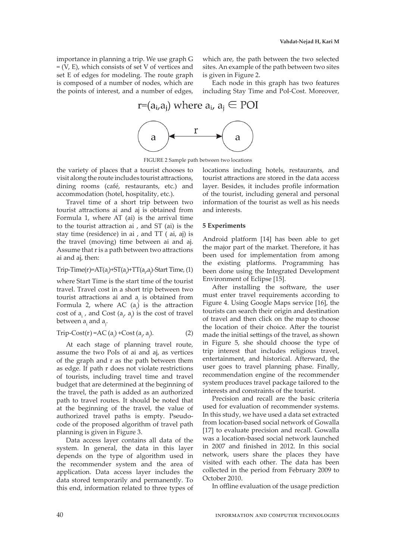importance in planning a trip. We use graph G = (V, E), which consists of set V of vertices and set E of edges for modeling. The route graph is composed of a number of nodes, which are the points of interest, and a number of edges,

which are, the path between the two selected sites. An example of the path between two sites is given in Figure 2.

Each node in this graph has two features including Stay Time and PoI-Cost. Moreover,

## r= $(a_i, a_i)$  where  $a_i$ ,  $a_i \in \text{POI}$



FIGURE 2 Sample path between two locations

the variety of places that a tourist chooses to visit along the route includes tourist attractions, dining rooms (café, restaurants, etc.) and accommodation (hotel, hospitality, etc.).

Travel time of a short trip between two tourist attractions ai and aj is obtained from Formula 1, where AT (ai) is the arrival time to the tourist attraction ai , and ST (ai) is the stay time (residence) in ai , and TT ( ai, aj) is the travel (moving) time between ai and aj. Assume that r is a path between two attractions ai and aj, then:

## $Trip-Time(r)=AT(a_i)+ST(a_i)+TT(a_i,a_j)$ -Start Time, (1)

where Start Time is the start time of the tourist travel. Travel cost in a short trip between two tourist attractions ai and  $a_i$  is obtained from Formula 2, where AC  $(a_i)$  is the attraction cost of  $a_i$ , and Cost  $(a_i, a_j)$  is the cost of travel between a<sub>i</sub> and a<sub>j</sub>.

$$
Trip-Cost(r) = AC (ai) + Cost (ai, ai). \t(2)
$$

At each stage of planning travel route, assume the two PoIs of ai and aj, as vertices of the graph and r as the path between them as edge. If path r does not violate restrictions of tourists, including travel time and travel budget that are determined at the beginning of the travel, the path is added as an authorized path to travel routes. It should be noted that at the beginning of the travel, the value of authorized travel paths is empty. Pseudocode of the proposed algorithm of travel path planning is given in Figure 3.

Data access layer contains all data of the system. In general, the data in this layer depends on the type of algorithm used in the recommender system and the area of application. Data access layer includes the data stored temporarily and permanently. To this end, information related to three types of locations including hotels, restaurants, and tourist attractions are stored in the data access layer. Besides, it includes profile information of the tourist, including general and personal information of the tourist as well as his needs and interests.

### **5 Experiments**

Android platform [14] has been able to get the major part of the market. Therefore, it has been used for implementation from among the existing platforms. Programming has been done using the Integrated Development Environment of Eclipse [15].

After installing the software, the user must enter travel requirements according to Figure 4. Using Google Maps service [16], the tourists can search their origin and destination of travel and then click on the map to choose the location of their choice. After the tourist made the initial settings of the travel, as shown in Figure 5, she should choose the type of trip interest that includes religious travel, entertainment, and historical. Afterward, the user goes to travel planning phase. Finally, recommendation engine of the recommender system produces travel package tailored to the interests and constraints of the tourist.

Precision and recall are the basic criteria used for evaluation of recommender systems. In this study, we have used a data set extracted from location-based social network of Gowalla [17] to evaluate precision and recall. Gowalla was a location-based social network launched in 2007 and finished in 2012. In this social network, users share the places they have visited with each other. The data has been collected in the period from February 2009 to October 2010.

In offline evaluation of the usage prediction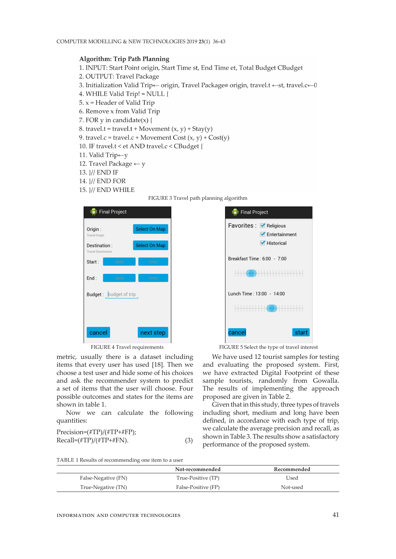## **Algorithm: Trip Path Planning**

- 1. INPUT: Start Point origin, Start Time st, End Time et, Total Budget CBudget
- 2. OUTPUT: Travel Package
- 3. Initialization Valid Trip← origin, Travel Package® origin, travel.t ←st, travel.c←0
- 4. WHILE Valid Trip! = NULL {
- 5.  $x =$  Header of Valid Trip
- 6. Remove x from Valid Trip
- 7. FOR y in candidate $(x)$  {
- 8. travel.t = travel.t + Movement  $(x, y)$  + Stay(y)
- 9. travel.c = travel.c + Movement Cost  $(x, y)$  + Cost(y)
- 10. IF travel.t < et AND travel.c < CBudget {
- 11. Valid Trip←y
- 12. Travel Package  $\leftarrow$  y
- 13. }// END IF
- 14. *\// END FOR*
- 15. *\// END WHILE*



| <b>o</b> t Final Project                  |               |
|-------------------------------------------|---------------|
| Origin:<br><b>Travel Origin</b>           | Select On Map |
| Destination:<br><b>Travel Destination</b> | Select On Map |
| date<br>Start:                            | time          |
| End:<br>date                              | time          |
| <b>Budget:</b> budget of trip             |               |
|                                           |               |
|                                           |               |
| cancel                                    | next step     |

metric, usually there is a dataset including items that every user has used [18]. Then we choose a test user and hide some of his choices and ask the recommender system to predict a set of items that the user will choose. Four possible outcomes and states for the items are shown in table 1.

Now we can calculate the following quantities:

| $Precision=(\#TP)/( \#TP + \#FP);$ |     |
|------------------------------------|-----|
| $Recall=(\#TP)/( \#TP + \#FN).$    | (3) |



FIGURE 4 Travel requirements FIGURE 5 Select the type of travel interest

We have used 12 tourist samples for testing and evaluating the proposed system. First, we have extracted Digital Footprint of these sample tourists, randomly from Gowalla. The results of implementing the approach proposed are given in Table 2.

Given that in this study, three types of travels including short, medium and long have been defined, in accordance with each type of trip, we calculate the average precision and recall, as shown in Table 3. The results show a satisfactory performance of the proposed system.

|                     | Not-recommended     | Recommended |
|---------------------|---------------------|-------------|
| False-Negative (FN) | True-Positive (TP)  | Used        |
| True-Negative (TN)  | False-Positive (FP) | Not-used    |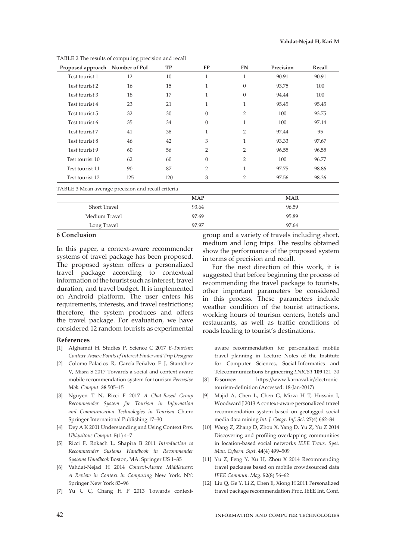| Proposed approach Number of PoI |     | <b>TP</b> | <b>FP</b>      | <b>FN</b>      | Precision | Recall |
|---------------------------------|-----|-----------|----------------|----------------|-----------|--------|
| Test tourist 1                  | 12  | 10        | $\mathbf{1}$   | $\mathbf{1}$   | 90.91     | 90.91  |
| Test tourist 2                  | 16  | 15        | 1              | $\Omega$       | 93.75     | 100    |
| Test tourist 3                  | 18  | 17        | 1              | $\Omega$       | 94.44     | 100    |
| Test tourist 4                  | 23  | 21        | 1              | 1              | 95.45     | 95.45  |
| Test tourist 5                  | 32  | 30        | $\Omega$       | $\overline{2}$ | 100       | 93.75  |
| Test tourist 6                  | 35  | 34        | $\Omega$       | $\mathbf{1}$   | 100       | 97.14  |
| Test tourist 7                  | 41  | 38        | 1              | $\overline{2}$ | 97.44     | 95     |
| Test tourist 8                  | 46  | 42        | 3              | 1              | 93.33     | 97.67  |
| Test tourist 9                  | 60  | 56        | $\overline{2}$ | 2              | 96.55     | 96.55  |
| Test tourist 10                 | 62  | 60        | $\Omega$       | $\overline{2}$ | 100       | 96.77  |
| Test tourist 11                 | 90  | 87        | $\overline{2}$ | $\mathbf{1}$   | 97.75     | 98.86  |
| Test tourist 12                 | 125 | 120       | 3              | 2              | 97.56     | 98.36  |

TABLE 2 The results of computing precision and recall

TABLE 3 Mean average precision and recall criteria **MAP MAR** Short Travel 93.64 96.59 Medium Travel 2012 2022 12:00 12:00 97.69 2022 12:00 12:00 12:00 12:00 12:00 12:00 12:00 12:00 12:00 12:00 12:0 Long Travel 97.97 97.64

## **6 Conclusion**

In this paper, a context-aware recommender systems of travel package has been proposed. The proposed system offers a personalized travel package according to contextual information of the tourist such as interest, travel duration, and travel budget. It is implemented on Android platform. The user enters his requirements, interests, and travel restrictions; therefore, the system produces and offers the travel package. For evaluation, we have considered 12 random tourists as experimental

#### **References**

- [1] Alghamdi H, Studies P, Science C 2017 *E-Tourism: Context-Aware Points of Interest Finder and Trip Designer*
- [2] Colomo-Palacios R, García-Peñalvo F J, Stantchev V, Misra S 2017 Towards a social and context-aware mobile recommendation system for tourism *Pervasive Mob. Comput.* **38** 505–15
- [3] Nguyen T N, Ricci F 2017 *A Chat-Based Group Recommender System for Tourism in Information and Communication Technologies in Tourism* Cham: Springer International Publishing 17–30
- [4] Dey A K 2001 Understanding and Using Context *Pers. Ubiquitous Comput.* **5**(1) 4–7
- [5] Ricci F, Rokach L, Shapira B 2011 *Introduction to Recommender Systems Handbook in Recommender Systems Handbook* Boston, MA: Springer US 1–35
- [6] Vahdat-Nejad H 2014 *Context-Aware Middleware: A Review in Context in Computing* New York, NY: Springer New York 83–96
- [7] Yu C C, Chang H P 2013 Towards context-

group and a variety of travels including short, medium and long trips. The results obtained show the performance of the proposed system in terms of precision and recall.

For the next direction of this work, it is suggested that before beginning the process of recommending the travel package to tourists, other important parameters be considered in this process. These parameters include weather condition of the tourist attractions, working hours of tourism centers, hotels and restaurants, as well as traffic conditions of roads leading to tourist's destinations.

aware recommendation for personalized mobile travel planning in Lecture Notes of the Institute for Computer Sciences, Social-Informatics and Telecommunications Engineering *LNICST* **109** 121–30

- [8] **E-source:** https://www.karnaval.ir/electronictourism-definition (Accessed: 18-Jan-2017)
- [9] Majid A, Chen L, Chen G, Mirza H T, Hussain I, Woodward J 2013 A context-aware personalized travel recommendation system based on geotagged social media data mining *Int. J. Geogr. Inf. Sci.* **27**(4) 662–84
- [10] Wang Z, Zhang D, Zhou X, Yang D, Yu Z, Yu Z 2014 Discovering and profiling overlapping communities in location-based social networks *IEEE Trans. Syst. Man, Cybern. Syst.* **44**(4) 499–509
- [11] Yu Z, Feng Y, Xu H, Zhou X 2014 Recommending travel packages based on mobile crowdsourced data *IEEE Commun. Mag.* **52**(8) 56–62
- [12] Liu Q, Ge Y, Li Z, Chen E, Xiong H 2011 Personalized travel package recommendation Proc. IEEE Int. Conf.